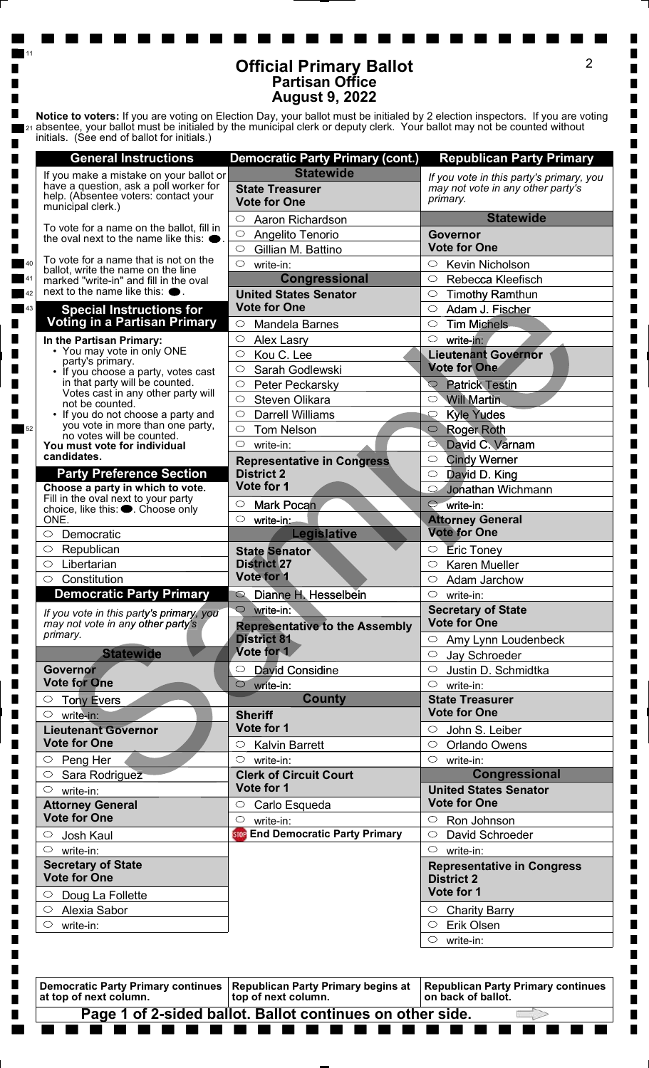## Official Primary Ballot Partisan Office August 9, 2022

11

 $\blacksquare$ 

п

п П п  $\blacksquare$ 

 $\blacksquare$  $\blacksquare$  $\blacksquare$  $\blacksquare$ 

П

 $\blacksquare$ 

 $\blacksquare$ 

П  $\blacksquare$  $\blacksquare$ ∎ ∎ п

п П П П

 $\blacksquare$ 

П П П  $\blacksquare$ П  $\blacksquare$  $\blacksquare$ П П  $\blacksquare$ П

П  $\blacksquare$  $\blacksquare$  $\blacksquare$  $\blacksquare$  $\blacksquare$ 

 $\blacksquare$ П ■ ∎ П  $\blacksquare$  $\blacksquare$  $\blacksquare$ ∎  $\blacksquare$ ■

■

∎

■ ■

П

a ka

|                                                                                                                                                                                                                                                                                                         | <b>Partisan Office</b><br><b>August 9, 2022</b>                                  |                                                                                           |
|---------------------------------------------------------------------------------------------------------------------------------------------------------------------------------------------------------------------------------------------------------------------------------------------------------|----------------------------------------------------------------------------------|-------------------------------------------------------------------------------------------|
| Notice to voters: If you are voting on Election Day, your ballot must be initialed by 2 election inspectors. If you are voting<br>absentee, your ballot must be initialed by the municipal clerk or deputy clerk. Your ballot may not be counted without<br>initials. (See end of ballot for initials.) |                                                                                  |                                                                                           |
| <b>General Instructions</b>                                                                                                                                                                                                                                                                             | <b>Democratic Party Primary (cont.)</b>                                          | <b>Republican Party Primary</b>                                                           |
| If you make a mistake on your ballot or<br>have a question, ask a poll worker for<br>help. (Absentee voters: contact your<br>municipal clerk.)                                                                                                                                                          | <b>Statewide</b><br><b>State Treasurer</b><br><b>Vote for One</b>                | If you vote in this party's primary, you<br>may not vote in any other party's<br>primary. |
| To vote for a name on the ballot, fill in<br>the oval next to the name like this: $\bullet$ .                                                                                                                                                                                                           | Aaron Richardson<br>$\circ$<br>$\circ$<br>Angelito Tenorio                       | <b>Statewide</b><br>Governor                                                              |
|                                                                                                                                                                                                                                                                                                         | $\circ$<br>Gillian M. Battino                                                    | <b>Vote for One</b>                                                                       |
| To vote for a name that is not on the<br>ballot, write the name on the line                                                                                                                                                                                                                             | $\circlearrowright$<br>write-in:                                                 | $\circ$<br>Kevin Nicholson                                                                |
| marked "write-in" and fill in the oval<br>next to the name like this: $\bullet$                                                                                                                                                                                                                         | <b>Congressional</b>                                                             | Rebecca Kleefisch<br>$\circ$                                                              |
| <b>Special Instructions for</b>                                                                                                                                                                                                                                                                         | <b>United States Senator</b><br><b>Vote for One</b>                              | <b>Timothy Ramthun</b><br>$\circ$<br>Adam J. Fischer<br>$\circ$                           |
| <b>Voting in a Partisan Primary</b>                                                                                                                                                                                                                                                                     | $\circ$<br><b>Mandela Barnes</b>                                                 | <b>Tim Michels</b><br>$\circlearrowright$                                                 |
| In the Partisan Primary:                                                                                                                                                                                                                                                                                | $\circ$<br>Alex Lasry                                                            | $\circ$<br>write-in:                                                                      |
| • You may vote in only ONE<br>party's primary.                                                                                                                                                                                                                                                          | Kou C. Lee<br>$\circlearrowright$                                                | <b>Lieutenant Governor</b><br><b>Vote for One</b>                                         |
| • If you choose a party, votes cast<br>in that party will be counted.                                                                                                                                                                                                                                   | Sarah Godlewski<br>$\circlearrowright$<br>$\circlearrowright$<br>Peter Peckarsky | $\circ$<br><b>Patrick Testin</b>                                                          |
| Votes cast in any other party will                                                                                                                                                                                                                                                                      | Steven Olikara<br>$\circ$                                                        | $\circ$<br><b>Will Martin</b>                                                             |
| not be counted.<br>• If you do not choose a party and                                                                                                                                                                                                                                                   | <b>Darrell Williams</b><br>$\circlearrowright$                                   | <b>Kyle Yudes</b><br>$\circ$                                                              |
| you vote in more than one party,                                                                                                                                                                                                                                                                        | $\circlearrowright$<br><b>Tom Nelson</b>                                         | $\circ$<br><b>Roger Roth</b>                                                              |
| no votes will be counted.<br>You must vote for individual                                                                                                                                                                                                                                               | $\circlearrowright$<br>write-in:                                                 | David C. Varnam<br>C                                                                      |
| candidates.                                                                                                                                                                                                                                                                                             | <b>Representative in Congress</b>                                                | <b>Cindy Werner</b><br>$\circ$                                                            |
| <b>Party Preference Section</b>                                                                                                                                                                                                                                                                         | <b>District 2</b>                                                                | David D. King<br>$\circ$                                                                  |
| Choose a party in which to vote.<br>Fill in the oval next to your party                                                                                                                                                                                                                                 | Vote for 1                                                                       | C<br>Jonathan Wichmann                                                                    |
| choice, like this: ●. Choose only                                                                                                                                                                                                                                                                       | <b>Mark Pocan</b><br>$\circlearrowright$                                         | C<br>write-in:                                                                            |
| ONE.                                                                                                                                                                                                                                                                                                    | $\circ$<br>write-in:<br><b>Legislative</b>                                       | <b>Attorney General</b><br><b>Vote for One</b>                                            |
| Democratic<br>Republican                                                                                                                                                                                                                                                                                | <b>State Senator</b>                                                             | Eric Toney                                                                                |
| Libertarian                                                                                                                                                                                                                                                                                             | <b>District 27</b>                                                               | Karen Mueller<br>$\circlearrowright$                                                      |
| Constitution<br>$\circ$                                                                                                                                                                                                                                                                                 | Vote for 1                                                                       | Adam Jarchow<br>$\circ$                                                                   |
| <b>Democratic Party Primary</b>                                                                                                                                                                                                                                                                         | Dianne H. Hesselbein<br>$\circ$                                                  | $\circ$<br>write-in:                                                                      |
| If you vote in this party's primary, you                                                                                                                                                                                                                                                                | $\circ$<br>write-in:                                                             | <b>Secretary of State</b>                                                                 |
| may not vote in any other party's<br>primary.                                                                                                                                                                                                                                                           | <b>Representative to the Assembly</b>                                            | <b>Vote for One</b>                                                                       |
|                                                                                                                                                                                                                                                                                                         | <b>District 81</b><br>Vote for 1                                                 | $\circ$ Amy Lynn Loudenbeck                                                               |
| <b>Statewide</b>                                                                                                                                                                                                                                                                                        |                                                                                  | $\circ$<br>Jay Schroeder                                                                  |
| <b>Governor</b><br><b>Vote for One</b>                                                                                                                                                                                                                                                                  | <b>David Considine</b><br>$\circlearrowright$<br>$\bigcirc$                      | Justin D. Schmidtka<br>$\circ$<br>$\circ$                                                 |
| <b>Tony Evers</b>                                                                                                                                                                                                                                                                                       | write-in:<br><b>County</b>                                                       | write-in:<br><b>State Treasurer</b>                                                       |
| write-in:                                                                                                                                                                                                                                                                                               | <b>Sheriff</b>                                                                   | <b>Vote for One</b>                                                                       |
| $\circlearrowright$<br><b>Lieutenant Governor</b>                                                                                                                                                                                                                                                       | Vote for 1                                                                       | John S. Leiber<br>$\circ$                                                                 |
| <b>Vote for One</b>                                                                                                                                                                                                                                                                                     | <b>Kalvin Barrett</b><br>$\circ$                                                 | $\circ$<br>Orlando Owens                                                                  |
| Peng Her<br>O                                                                                                                                                                                                                                                                                           | $\circlearrowright$<br>write-in:                                                 | $\circlearrowright$<br>write-in:                                                          |
| Sara Rodriguez                                                                                                                                                                                                                                                                                          | <b>Clerk of Circuit Court</b>                                                    | Congressional                                                                             |
| write-in:<br>$\circlearrowright$                                                                                                                                                                                                                                                                        | Vote for 1                                                                       | <b>United States Senator</b>                                                              |
| <b>Attorney General</b>                                                                                                                                                                                                                                                                                 | Carlo Esqueda<br>$\circ$                                                         | <b>Vote for One</b>                                                                       |
| <b>Vote for One</b>                                                                                                                                                                                                                                                                                     | $\circlearrowright$<br>write-in:<br><b>STOP</b> End Democratic Party Primary     | $\circ$<br>Ron Johnson                                                                    |
| Josh Kaul<br>O<br>$\circlearrowright$<br>write-in:                                                                                                                                                                                                                                                      |                                                                                  | $\circ$<br>David Schroeder<br>$\circ$<br>write-in:                                        |
|                                                                                                                                                                                                                                                                                                         |                                                                                  | <b>Representative in Congress</b>                                                         |
|                                                                                                                                                                                                                                                                                                         |                                                                                  | <b>District 2</b>                                                                         |
|                                                                                                                                                                                                                                                                                                         |                                                                                  |                                                                                           |
| Doug La Follette                                                                                                                                                                                                                                                                                        |                                                                                  | Vote for 1                                                                                |
| <b>Secretary of State</b><br><b>Vote for One</b><br>Alexia Sabor<br>write-in:                                                                                                                                                                                                                           |                                                                                  | <b>Charity Barry</b><br>$\circ$<br>Erik Olsen                                             |

Democratic Party Primary continues at top of next column. Republican Party Primary begins at top of next column. Republican Party Primary continues | on back of ballot. Page 1 of 2-sided ballot. Ballot continues on other side.

٠

г

٠

 $\blacksquare$ 

 $\blacksquare$ 

 $\blacksquare$ 

 $\blacksquare$  $\blacksquare$